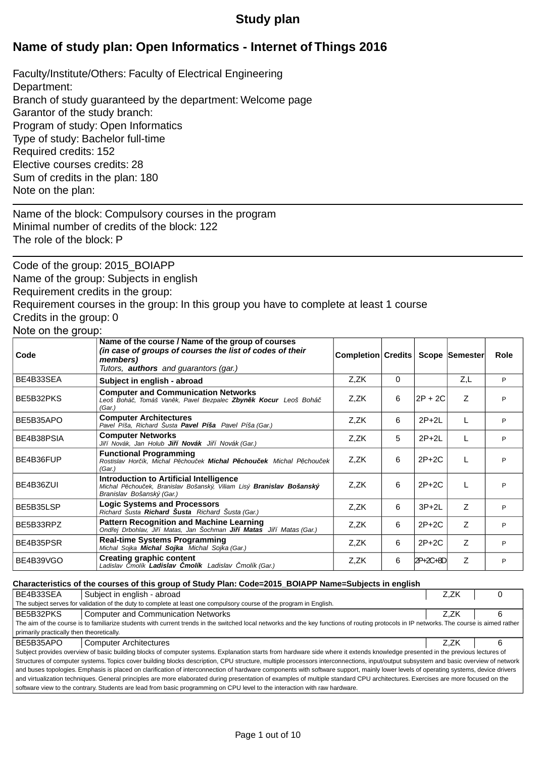# **Study plan**

# **Name of study plan: Open Informatics - Internet of Things 2016**

Faculty/Institute/Others: Faculty of Electrical Engineering Department: Branch of study guaranteed by the department: Welcome page Garantor of the study branch: Program of study: Open Informatics Type of study: Bachelor full-time Required credits: 152 Elective courses credits: 28 Sum of credits in the plan: 180 Note on the plan:

Name of the block: Compulsory courses in the program Minimal number of credits of the block: 122 The role of the block: P

Code of the group: 2015\_BOIAPP Name of the group: Subjects in english Requirement credits in the group: Requirement courses in the group: In this group you have to complete at least 1 course Credits in the group: 0

# Note on the group:

| $1.1010$ on the group: |                                                                                                                                                                           |                                     |   |          |     |      |
|------------------------|---------------------------------------------------------------------------------------------------------------------------------------------------------------------------|-------------------------------------|---|----------|-----|------|
| Code                   | Name of the course / Name of the group of courses<br>(in case of groups of courses the list of codes of their<br>members)<br>Tutors, <b>authors</b> and guarantors (gar.) | Completion Credits   Scope Semester |   |          |     | Role |
| BE4B33SEA              | Subject in english - abroad                                                                                                                                               | Z,ZK                                | 0 |          | Z,L | P    |
| BE5B32PKS              | <b>Computer and Communication Networks</b><br>Leoš Bohá , Tomáš Van k, Pavel Bezpalec <b>Zbyn k Kocur</b> Leoš Bohá<br>(Gar.)                                             | Z,ZK                                | 6 | 2P + 2C  | Z   | P    |
| BE5B35APO              | <b>Computer Architectures</b><br>Pavel Píša, Richard Šusta Pavel Píša Pavel Píša (Gar.)                                                                                   | Z,ZK                                | 6 | $2P+2L$  | L   | P    |
| BE4B38PSIA             | <b>Computer Networks</b><br>Ji í Novák, Jan Holub Ji í Novák Ji í Novák (Gar.)                                                                                            | Z,ZK                                | 5 | $2P+2L$  |     | P    |
| BE4B36FUP              | <b>Functional Programming</b><br>Rostislav Hor ík, Michal P chou ek <b>Michal P chou ek</b> Michal P chou ek<br>(Gar.)                                                    | Z,ZK                                | 6 | $2P+2C$  |     | P    |
| BE4B36ZUI              | Introduction to Artificial Intelligence<br>Michal P chou ek, Branislav Bošanský, Viliam Lisý <b>Branislav Bošanský</b><br>Branislav Bošanský (Gar.)                       | Z.ZK                                | 6 | $2P+2C$  |     | P    |
| BE5B35LSP              | <b>Logic Systems and Processors</b><br>Richard Šusta Richard Šusta Richard Šusta (Gar.)                                                                                   | Z,ZK                                | 6 | $3P+2L$  | Z   | P    |
| BE5B33RPZ              | <b>Pattern Recognition and Machine Learning</b><br>Ond ej Drbohlav, Ji í Matas, Jan Šochman Ji í Matas Ji í Matas (Gar.)                                                  | Z,ZK                                | 6 | $2P+2C$  | Z   | P    |
| BE4B35PSR              | <b>Real-time Systems Programming</b><br>Michal Sojka <b>Michal Sojka</b> Michal Sojka (Gar.)                                                                              | Z.ZK                                | 6 | $2P+2C$  | Z   | P    |
| BE4B39VGO              | <b>Creating graphic content</b><br>Ladislav molík Ladislav molík Ladislav molík (Gar.)                                                                                    | Z,ZK                                | 6 | 2P+2C+8D | Ζ   | P    |

#### **Characteristics of the courses of this group of Study Plan: Code=2015\_BOIAPP Name=Subjects in english**

| BE4B33SEA                                                                                                                                                                       | Subject in english - abroad                                                                                                                                                               | Z.ZK |  |  |  |  |  |  |
|---------------------------------------------------------------------------------------------------------------------------------------------------------------------------------|-------------------------------------------------------------------------------------------------------------------------------------------------------------------------------------------|------|--|--|--|--|--|--|
| The subject serves for validation of the duty to complete at least one compulsory course of the program in English.                                                             |                                                                                                                                                                                           |      |  |  |  |  |  |  |
| BE5B32PKS                                                                                                                                                                       | <b>Computer and Communication Networks</b>                                                                                                                                                | Z.ZK |  |  |  |  |  |  |
|                                                                                                                                                                                 | The aim of the course is to familiarize students with current trends in the switched local networks and the key functions of routing protocols in IP networks. The course is aimed rather |      |  |  |  |  |  |  |
| primarily practically then theoretically.                                                                                                                                       |                                                                                                                                                                                           |      |  |  |  |  |  |  |
| BE5B35APO                                                                                                                                                                       | <b>Computer Architectures</b>                                                                                                                                                             | Z.ZK |  |  |  |  |  |  |
|                                                                                                                                                                                 | Subject provides overview of basic building blocks of computer systems. Explanation starts from hardware side where it extends knowledge presented in the previous lectures of            |      |  |  |  |  |  |  |
|                                                                                                                                                                                 | Structures of computer systems. Topics cover building blocks description, CPU structure, multiple processors interconnections, input/output subsystem and basic overview of network       |      |  |  |  |  |  |  |
|                                                                                                                                                                                 | and buses topologies. Emphasis is placed on clarification of interconnection of hardware components with software support, mainly lower levels of operating systems, device drivers       |      |  |  |  |  |  |  |
| and virtualization techniques. General principles are more elaborated during presentation of examples of multiple standard CPU architectures. Exercises are more focused on the |                                                                                                                                                                                           |      |  |  |  |  |  |  |
| software view to the contrary. Students are lead from basic programming on CPU level to the interaction with raw hardware.                                                      |                                                                                                                                                                                           |      |  |  |  |  |  |  |
|                                                                                                                                                                                 |                                                                                                                                                                                           |      |  |  |  |  |  |  |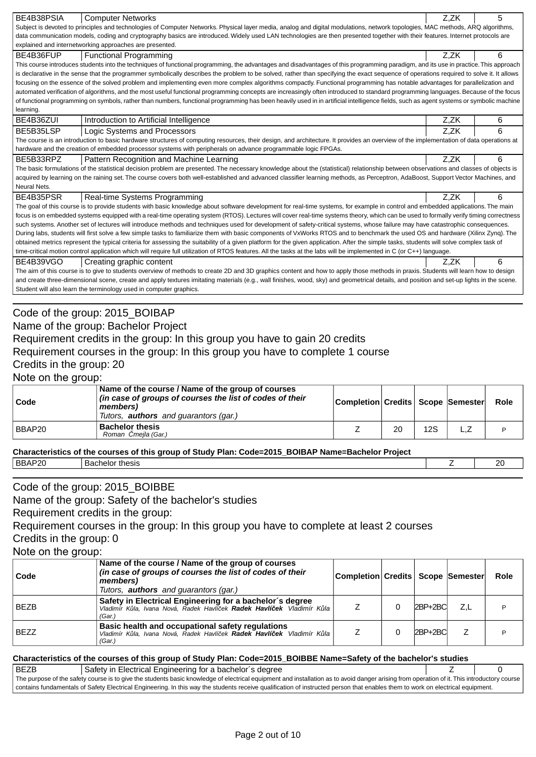| BE4B38PSIA               | <b>Computer Networks</b>                                                                                                                                                                                                                                                                                                                                                       |                    |    |            | Z,ZK           | 5           |  |
|--------------------------|--------------------------------------------------------------------------------------------------------------------------------------------------------------------------------------------------------------------------------------------------------------------------------------------------------------------------------------------------------------------------------|--------------------|----|------------|----------------|-------------|--|
|                          | Subject is devoted to principles and technologies of Computer Networks. Physical layer media, analog and digital modulations, network topologies, MAC methods, ARQ algorithms,                                                                                                                                                                                                 |                    |    |            |                |             |  |
|                          | data communication models, coding and cryptography basics are introduced. Widely used LAN technologies are then presented together with their features. Internet protocols are                                                                                                                                                                                                 |                    |    |            |                |             |  |
|                          | explained and internetworking approaches are presented.                                                                                                                                                                                                                                                                                                                        |                    |    |            |                |             |  |
| BE4B36FUP                | <b>Functional Programming</b><br>This course introduces students into the techniques of functional programming, the advantages and disadvantages of this programming paradigm, and its use in practice. This approach                                                                                                                                                          |                    |    |            | Z,ZK           | 6           |  |
|                          | is declarative in the sense that the programmer symbolically describes the problem to be solved, rather than specifying the exact sequence of operations required to solve it. It allows                                                                                                                                                                                       |                    |    |            |                |             |  |
|                          | focusing on the essence of the solved problem and implementing even more complex algorithms compactly. Functional programming has notable advantages for parallelization and                                                                                                                                                                                                   |                    |    |            |                |             |  |
|                          | automated verification of algorithms, and the most useful functional programming concepts are increasingly often introduced to standard programming languages. Because of the focus                                                                                                                                                                                            |                    |    |            |                |             |  |
|                          | of functional programming on symbols, rather than numbers, functional programming has been heavily used in in artificial intelligence fields, such as agent systems or symbolic machine                                                                                                                                                                                        |                    |    |            |                |             |  |
| learning.                |                                                                                                                                                                                                                                                                                                                                                                                |                    |    |            |                |             |  |
| BE4B36ZUI                | Introduction to Artificial Intelligence                                                                                                                                                                                                                                                                                                                                        |                    |    |            | Z,ZK           | 6           |  |
| BE5B35LSP                | Logic Systems and Processors<br>The course is an introduction to basic hardware structures of computing resources, their design, and architecture. It provides an overview of the implementation of data operations at                                                                                                                                                         |                    |    |            | Z,ZK           | 6           |  |
|                          | hardware and the creation of embedded processor systems with peripherals on advance programmable logic FPGAs.                                                                                                                                                                                                                                                                  |                    |    |            |                |             |  |
| BE5B33RPZ                | Pattern Recognition and Machine Learning                                                                                                                                                                                                                                                                                                                                       |                    |    |            | Z,ZK           | 6           |  |
|                          | The basic formulations of the statistical decision problem are presented. The necessary knowledge about the (statistical) relationship between observations and classes of objects is                                                                                                                                                                                          |                    |    |            |                |             |  |
|                          | acquired by learning on the raining set. The course covers both well-established and advanced classifier learning methods, as Perceptron, AdaBoost, Support Vector Machines, and                                                                                                                                                                                               |                    |    |            |                |             |  |
| Neural Nets.             |                                                                                                                                                                                                                                                                                                                                                                                |                    |    |            |                |             |  |
| BE4B35PSR                | Real-time Systems Programming                                                                                                                                                                                                                                                                                                                                                  |                    |    |            | Z,ZK           | 6           |  |
|                          | The goal of this course is to provide students with basic knowledge about software development for real-time systems, for example in control and embedded applications. The main<br>focus is on embedded systems equipped with a real-time operating system (RTOS). Lectures will cover real-time systems theory, which can be used to formally verify timing correctness      |                    |    |            |                |             |  |
|                          | such systems. Another set of lectures will introduce methods and techniques used for development of safety-critical systems, whose failure may have catastrophic consequences.                                                                                                                                                                                                 |                    |    |            |                |             |  |
|                          | During labs, students will first solve a few simple tasks to familiarize them with basic components of VxWorks RTOS and to benchmark the used OS and hardware (Xilinx Zynq). The                                                                                                                                                                                               |                    |    |            |                |             |  |
|                          | obtained metrics represent the typical criteria for assessing the suitability of a given platform for the given application. After the simple tasks, students will solve complex task of                                                                                                                                                                                       |                    |    |            |                |             |  |
|                          | time-critical motion control application which will require full utilization of RTOS features. All the tasks at the labs will be implemented in C (or C++) language.                                                                                                                                                                                                           |                    |    |            |                |             |  |
| BE4B39VGO                | Creating graphic content                                                                                                                                                                                                                                                                                                                                                       |                    |    |            | Z,ZK           | 6           |  |
|                          | The aim of this course is to give to students overview of methods to create 2D and 3D graphics content and how to apply those methods in praxis. Students will learn how to design<br>and create three-dimensional scene, create and apply textures imitating materials (e.g., wall finishes, wood, sky) and geometrical details, and position and set-up lights in the scene. |                    |    |            |                |             |  |
|                          | Student will also learn the terminology used in computer graphics.                                                                                                                                                                                                                                                                                                             |                    |    |            |                |             |  |
|                          |                                                                                                                                                                                                                                                                                                                                                                                |                    |    |            |                |             |  |
|                          | Code of the group: 2015_BOIBAP                                                                                                                                                                                                                                                                                                                                                 |                    |    |            |                |             |  |
|                          | Name of the group: Bachelor Project                                                                                                                                                                                                                                                                                                                                            |                    |    |            |                |             |  |
|                          | Requirement credits in the group: In this group you have to gain 20 credits                                                                                                                                                                                                                                                                                                    |                    |    |            |                |             |  |
|                          |                                                                                                                                                                                                                                                                                                                                                                                |                    |    |            |                |             |  |
|                          | Requirement courses in the group: In this group you have to complete 1 course                                                                                                                                                                                                                                                                                                  |                    |    |            |                |             |  |
|                          |                                                                                                                                                                                                                                                                                                                                                                                |                    |    |            |                |             |  |
| Credits in the group: 20 |                                                                                                                                                                                                                                                                                                                                                                                |                    |    |            |                |             |  |
| Note on the group:       |                                                                                                                                                                                                                                                                                                                                                                                |                    |    |            |                |             |  |
| Code                     | Name of the course / Name of the group of courses<br>(in case of groups of courses the list of codes of their<br>members)                                                                                                                                                                                                                                                      | Completion Credits |    |            | Scope Semester | Role        |  |
|                          | Tutors, <b>authors</b> and guarantors (gar.)                                                                                                                                                                                                                                                                                                                                   |                    |    |            |                |             |  |
| BBAP20                   | <b>Bachelor thesis</b>                                                                                                                                                                                                                                                                                                                                                         | Ζ                  | 20 | <b>12S</b> | L,Z            | P           |  |
|                          | Roman mejla (Gar.)                                                                                                                                                                                                                                                                                                                                                             |                    |    |            |                |             |  |
|                          | Characteristics of the courses of this group of Study Plan: Code=2015_BOIBAP Name=Bachelor Project                                                                                                                                                                                                                                                                             |                    |    |            |                |             |  |
| BBAP20                   | <b>Bachelor thesis</b>                                                                                                                                                                                                                                                                                                                                                         |                    |    |            | Ζ              | 20          |  |
|                          |                                                                                                                                                                                                                                                                                                                                                                                |                    |    |            |                |             |  |
|                          | Code of the group: 2015_BOIBBE                                                                                                                                                                                                                                                                                                                                                 |                    |    |            |                |             |  |
|                          | Name of the group: Safety of the bachelor's studies                                                                                                                                                                                                                                                                                                                            |                    |    |            |                |             |  |
|                          |                                                                                                                                                                                                                                                                                                                                                                                |                    |    |            |                |             |  |
|                          | Requirement credits in the group:                                                                                                                                                                                                                                                                                                                                              |                    |    |            |                |             |  |
|                          | Requirement courses in the group: In this group you have to complete at least 2 courses                                                                                                                                                                                                                                                                                        |                    |    |            |                |             |  |
| Credits in the group: 0  |                                                                                                                                                                                                                                                                                                                                                                                |                    |    |            |                |             |  |
| Note on the group:       |                                                                                                                                                                                                                                                                                                                                                                                |                    |    |            |                |             |  |
| Code                     | Name of the course / Name of the group of courses<br>(in case of groups of courses the list of codes of their                                                                                                                                                                                                                                                                  | Completion Credits |    |            | Scope Semester | <b>Role</b> |  |
|                          | members)                                                                                                                                                                                                                                                                                                                                                                       |                    |    |            |                |             |  |
| <b>BEZB</b>              | Tutors, <b>authors</b> and guarantors (gar.)<br>Safety in Electrical Engineering for a bachelor's degree<br>Vladimír K la, Ivana Nová, Radek Havlí ek <b>Radek Havlí ek</b> Vladimír K la<br>(Gar.)                                                                                                                                                                            | Ζ                  | 0  | 2BP+2BC    | Z,L            | P           |  |
| <b>BEZZ</b>              | Basic health and occupational safety regulations<br>Vladimír K la, Ivana Nová, Radek Havlí ek Radek Havlí ek Vladimír K la                                                                                                                                                                                                                                                     | Ζ                  | 0  | 2BP+2BC    | $\mathsf Z$    | P           |  |
|                          | (Gar.)                                                                                                                                                                                                                                                                                                                                                                         |                    |    |            |                |             |  |
|                          | Characteristics of the courses of this group of Study Plan: Code=2015_BOIBBE Name=Safety of the bachelor's studies                                                                                                                                                                                                                                                             |                    |    |            |                |             |  |
| <b>BEZB</b>              | Safety in Electrical Engineering for a bachelor's degree                                                                                                                                                                                                                                                                                                                       |                    |    |            | Ζ              | $\Omega$    |  |
|                          | The purpose of the safety course is to give the students basic knowledge of electrical equipment and installation as to avoid danger arising from operation of it. This introductory course<br>contains fundamentals of Safety Electrical Engineering. In this way the students receive qualification of instructed person that enables them to work on electrical equipment.  |                    |    |            |                |             |  |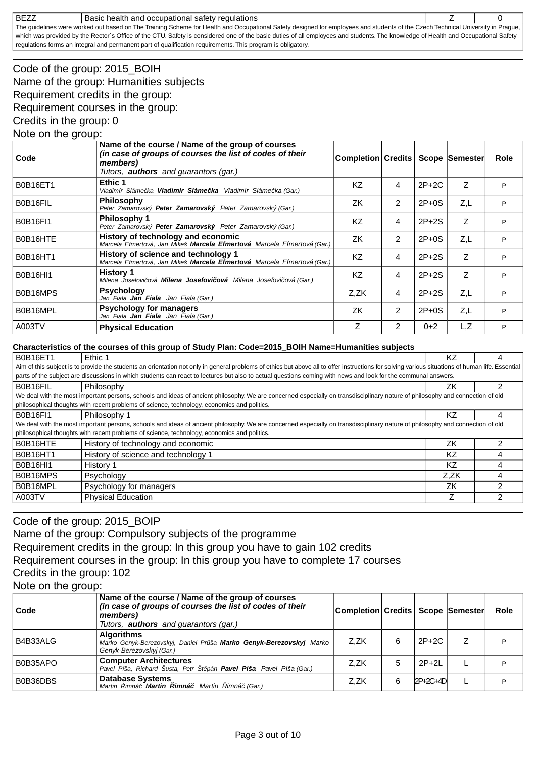#### BEZZ Basic health and occupational safety regulations **BEZZ** | 0

The guidelines were worked out based on The Training Scheme for Health and Occupational Safety designed for employees and students of the Czech Technical University in Prague, which was provided by the Rector's Office of the CTU. Safety is considered one of the basic duties of all employees and students. The knowledge of Health and Occupational Safety regulations forms an integral and permanent part of qualification requirements. This program is obligatory.

# Code of the group: 2015\_BOIH Name of the group: Humanities subjects Requirement credits in the group: Requirement courses in the group:

Credits in the group: 0

### Note on the group:

| Code            | Name of the course / Name of the group of courses<br>(in case of groups of courses the list of codes of their<br>members)<br>Tutors, <b>authors</b> and quarantors (gar.) | Completion Credits |   |         | Scope Semester | Role |
|-----------------|---------------------------------------------------------------------------------------------------------------------------------------------------------------------------|--------------------|---|---------|----------------|------|
| <b>B0B16ET1</b> | Ethic 1<br>Vladimír Sláme ka <b>Vladimír Sláme ka</b> Vladimír Sláme ka (Gar.)                                                                                            | KZ                 | 4 | $2P+2C$ | Z              | P    |
| B0B16FIL        | <b>Philosophy</b><br>Peter Zamarovský <b>Peter Zamarovský</b> Peter Zamarovský (Gar.)                                                                                     | ZK                 | 2 | $2P+0S$ | Z,L            | P    |
| <b>B0B16FI1</b> | Philosophy 1<br>Peter Zamarovský <b>Peter Zamarovský</b> Peter Zamarovský (Gar.)                                                                                          | KZ.                | 4 | $2P+2S$ | Z              | P    |
| B0B16HTE        | History of technology and economic<br>Marcela Efmertová, Jan Mikeš <b>Marcela Efmertová</b> Marcela Efmertová (Gar.)                                                      | ZK                 | 2 | $2P+0S$ | Z,L            | P    |
| <b>B0B16HT1</b> | History of science and technology 1<br>Marcela Efmertová, Jan Mikeš Marcela Efmertová Marcela Efmertová (Gar.)                                                            | KZ                 | 4 | $2P+2S$ | Z              | P    |
| <b>B0B16HI1</b> | <b>History 1</b><br>Milena Josefovi ová <b>Milena Josefovi ová</b> Milena Josefovi ová (Gar.)                                                                             | <b>KZ</b>          | 4 | $2P+2S$ | Z              | P    |
| B0B16MPS        | <b>Psychology</b><br>Jan Fiala <b>Jan Fiala</b> Jan Fiala (Gar.)                                                                                                          | Z,ZK               | 4 | $2P+2S$ | Z,L            | P    |
| B0B16MPL        | <b>Psychology for managers</b><br>Jan Fiala <b>Jan Fiala</b> Jan Fiala (Gar.)                                                                                             | ZK                 | 2 | $2P+0S$ | Z,L            | P    |
| A003TV          | <b>Physical Education</b>                                                                                                                                                 | Ζ                  | 2 | $0+2$   | L,Z            | P    |

#### **Characteristics of the courses of this group of Study Plan: Code=2015\_BOIH Name=Humanities subjects**

| <b>B0B16ET1</b>                                                                                                                                                                                  | Ethic 1                                                                                                                                                                       | ΚZ   | 4 |  |  |  |  |
|--------------------------------------------------------------------------------------------------------------------------------------------------------------------------------------------------|-------------------------------------------------------------------------------------------------------------------------------------------------------------------------------|------|---|--|--|--|--|
| Aim of this subject is to provide the students an orientation not only in general problems of ethics but above all to offer instructions for solving various situations of human life. Essential |                                                                                                                                                                               |      |   |  |  |  |  |
| parts of the subject are discussions in which students can react to lectures but also to actual questions coming with news and look for the communal answers.                                    |                                                                                                                                                                               |      |   |  |  |  |  |
| B0B16FIL                                                                                                                                                                                         | Philosophy                                                                                                                                                                    | ΖK   |   |  |  |  |  |
|                                                                                                                                                                                                  | We deal with the most important persons, schools and ideas of ancient philosophy. We are concerned especially on transdisciplinary nature of philosophy and connection of old |      |   |  |  |  |  |
|                                                                                                                                                                                                  | philosophical thoughts with recent problems of science, technology, economics and politics.                                                                                   |      |   |  |  |  |  |
| <b>B0B16FI1</b>                                                                                                                                                                                  | Philosophy 1                                                                                                                                                                  | ΚZ   | 4 |  |  |  |  |
|                                                                                                                                                                                                  | We deal with the most important persons, schools and ideas of ancient philosophy. We are concerned especially on transdisciplinary nature of philosophy and connection of old |      |   |  |  |  |  |
|                                                                                                                                                                                                  | philosophical thoughts with recent problems of science, technology, economics and politics.                                                                                   |      |   |  |  |  |  |
| B0B16HTE                                                                                                                                                                                         | History of technology and economic                                                                                                                                            | ZK   |   |  |  |  |  |
| <b>B0B16HT1</b>                                                                                                                                                                                  | History of science and technology 1                                                                                                                                           | ΚZ   |   |  |  |  |  |
| <b>B0B16HI1</b>                                                                                                                                                                                  | History 1                                                                                                                                                                     | KZ   | 4 |  |  |  |  |
| B0B16MPS                                                                                                                                                                                         | Psychology                                                                                                                                                                    | Z.ZK | 4 |  |  |  |  |
| B0B16MPL                                                                                                                                                                                         | Psychology for managers                                                                                                                                                       | ΖK   | າ |  |  |  |  |
| A003TV                                                                                                                                                                                           | <b>Physical Education</b>                                                                                                                                                     |      | 2 |  |  |  |  |
|                                                                                                                                                                                                  |                                                                                                                                                                               |      |   |  |  |  |  |

## Code of the group: 2015\_BOIP

Name of the group: Compulsory subjects of the programme

Requirement credits in the group: In this group you have to gain 102 credits

Requirement courses in the group: In this group you have to complete 17 courses

### Credits in the group: 102

Note on the group:

| Code     | Name of the course / Name of the group of courses<br>(in case of groups of courses the list of codes of their<br>members)<br>Tutors, <b>authors</b> and quarantors (gar.) | Completion Credits Scope Semester |   |            | Role |
|----------|---------------------------------------------------------------------------------------------------------------------------------------------------------------------------|-----------------------------------|---|------------|------|
| B4B33ALG | <b>Algorithms</b><br>Marko Genyk-Berezovskyj, Daniel Pr ša Marko Genyk-Berezovskyj Marko<br>Genyk-Berezovskyj (Gar.)                                                      | Z.ZK                              | 6 | 2P+2C      | P    |
| B0B35APO | <b>Computer Architectures</b><br>Pavel Píša, Richard Šusta, Petr Št pán Pavel Píša Pavel Píša (Gar.)                                                                      | Z.ZK                              | 5 | $2P+2L$    |      |
| B0B36DBS | <b>Database Systems</b><br><b>imná</b> Martin<br>Martin imná <b>Martin</b><br>imná (Gar.)                                                                                 | Z.ZK                              | 6 | $2P+2C+4D$ |      |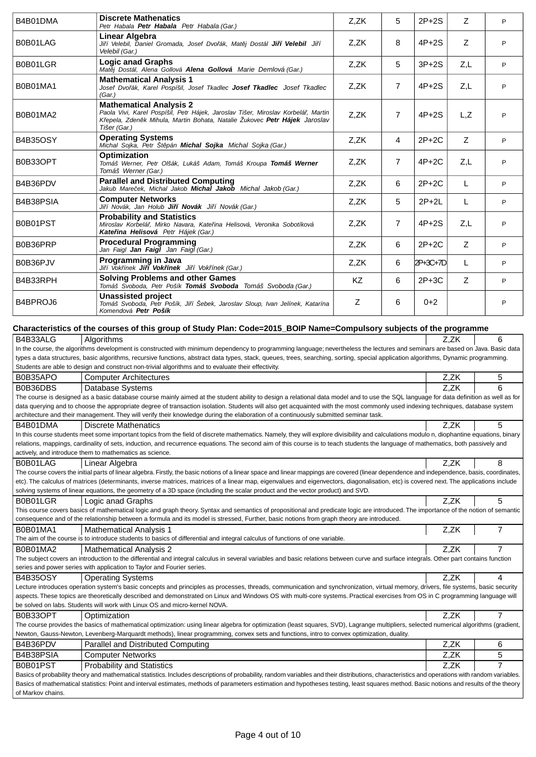| B4B01DMA          | <b>Discrete Mathenatics</b><br>Petr Habala Petr Habala Petr Habala (Gar.)                                                                                                                                                                                                                                                                                             | Z,ZK | 5              | $2P+2S$  | Ζ    | P |
|-------------------|-----------------------------------------------------------------------------------------------------------------------------------------------------------------------------------------------------------------------------------------------------------------------------------------------------------------------------------------------------------------------|------|----------------|----------|------|---|
| B0B01LAG          | Linear Algebra<br>Ji í Velebil, Daniel Gromada, Josef Dvo ák, Mat i Dostál <b>Ji í Velebil</b> Ji í<br>Velebil (Gar.)                                                                                                                                                                                                                                                 | Z,ZK | 8              | $4P+2S$  | Ζ    | P |
| B0B01LGR          | <b>Logic anad Graphs</b><br>Mat j Dostál, Alena Gollová Alena Gollová Marie Demlová (Gar.)                                                                                                                                                                                                                                                                            | Z,ZK | 5              | $3P+2S$  | Z,L  | P |
| B0B01MA1          | <b>Mathematical Analysis 1</b><br>Josef Dvo ák, Karel Pospíšil, Josef Tkadlec <b>Josef Tkadlec</b> Josef Tkadlec<br>(Gar.)                                                                                                                                                                                                                                            | Z,ZK | 7              | $4P+2S$  | Z,L  | P |
| B0B01MA2          | <b>Mathematical Analysis 2</b><br>Paola Vivi, Karel Pospíšil, Petr Hájek, Jaroslav Tišer, Miroslav Korbelá, Martin<br>K epela, Zden k Mihula, Martin Bohata, Natalie Žukovec Petr Hájek Jaroslav<br>Tišer (Gar.)                                                                                                                                                      | Z,ZK | $\overline{7}$ | $4P+2S$  | L,Z  | P |
| <b>B4B35OSY</b>   | <b>Operating Systems</b><br>Michal Sojka, Petr Št pán Michal Sojka Michal Sojka (Gar.)                                                                                                                                                                                                                                                                                | Z,ZK | 4              | $2P+2C$  | Z    | P |
| B0B33OPT          | <b>Optimization</b><br>Tomáš Werner, Petr Olšák, Lukáš Adam, Tomáš Kroupa Tomáš Werner<br>Tomáš Werner (Gar.)                                                                                                                                                                                                                                                         | Z,ZK | 7              | $4P+2C$  | Z,L  | P |
| B4B36PDV          | <b>Parallel and Distributed Computing</b><br>Jakub Mare ek. Michal Jakob <b>Michal Jakob</b> Michal Jakob (Gar.)                                                                                                                                                                                                                                                      | Z,ZK | 6              | $2P+2C$  | L    | P |
| B4B38PSIA         | <b>Computer Networks</b><br>Ji í Novák, Jan Holub <b>Ji í Novák</b> Ji í Novák (Gar.)                                                                                                                                                                                                                                                                                 | Z,ZK | 5              | $2P+2L$  | L    | P |
| B0B01PST          | <b>Probability and Statistics</b><br>Miroslav Korbelá, Mirko Navara, Kate ina Helisová, Veronika Sobotíková<br>Kate ina Helisová Petr Hájek (Gar.)                                                                                                                                                                                                                    | Z,ZK | 7              | $4P+2S$  | Z,L  | P |
| B0B36PRP          | <b>Procedural Programming</b><br>Jan Faigl Jan Faigl Jan Faigl (Gar.)                                                                                                                                                                                                                                                                                                 | Z,ZK | 6              | $2P+2C$  | Z    | P |
| B0B36PJV          | Programming in Java<br>Ji í Vok ínek <b>Ji í Vok ínek</b> Ji í Vok ínek (Gar.)                                                                                                                                                                                                                                                                                        | Z,ZK | 6              | 2P+3C+7D | L    | P |
| B4B33RPH          | <b>Solving Problems and other Games</b><br>Tomáš Svoboda, Petr Pošík Tomáš Svoboda Tomáš Svoboda (Gar.)                                                                                                                                                                                                                                                               | KZ.  | 6              | $2P+3C$  | Z    | P |
| B4BPROJ6          | <b>Unassisted project</b><br>Tomáš Svoboda, Petr Pošík, Ji í Šebek, Jaroslav Sloup, Ivan Jelínek, Katarína<br>Komendová Petr Pošík                                                                                                                                                                                                                                    | Z    | 6              | $0+2$    |      | P |
|                   | Characteristics of the courses of this group of Study Plan: Code=2015_BOIP Name=Compulsory subjects of the programme                                                                                                                                                                                                                                                  |      |                |          |      |   |
| B4B33ALG          | Algorithms                                                                                                                                                                                                                                                                                                                                                            |      |                |          | Z.ZK | 6 |
|                   | In the course, the algorithms development is constructed with minimum dependency to programming language; nevertheless the lectures and seminars are based on Java. Basic data                                                                                                                                                                                        |      |                |          |      |   |
|                   | types a data structures, basic algorithms, recursive functions, abstract data types, stack, queues, trees, searching, sorting, special application algorithms, Dynamic programming.<br>Students are able to design and construct non-trivial algorithms and to evaluate their effectivity.                                                                            |      |                |          |      |   |
| B0B35APO          | <b>Computer Architectures</b>                                                                                                                                                                                                                                                                                                                                         |      |                |          | Z,ZK | 5 |
| B0B36DBS          | Database Systems<br>The course is designed as a basic database course mainly aimed at the student ability to design a relational data model and to use the SQL language for data definition as well as for                                                                                                                                                            |      |                |          | Z,ZK | 6 |
|                   | data querying and to choose the appropriate degree of transaction isolation. Students will also get acquainted with the most commonly used indexing techniques, database system                                                                                                                                                                                       |      |                |          |      |   |
|                   | architecture and their management. They will verify their knowledge during the elaboration of a continuously submitted seminar task.                                                                                                                                                                                                                                  |      |                |          |      |   |
| B4B01DMA          | <b>Discrete Mathenatics</b><br>In this course students meet some important topics from the field of discrete mathematics. Namely, they will explore divisibility and calculations modulo n, diophantine equations, binary                                                                                                                                             |      |                |          | Z,ZK | 5 |
|                   | relations, mappings, cardinality of sets, induction, and recurrence equations. The second aim of this course is to teach students the language of mathematics, both passively and                                                                                                                                                                                     |      |                |          |      |   |
| B0B01LAG          | actively, and introduce them to mathematics as science.<br>Linear Algebra                                                                                                                                                                                                                                                                                             |      |                |          | Z,ZK | 8 |
|                   | The course covers the initial parts of linear algebra. Firstly, the basic notions of a linear space and linear mappings are covered (linear dependence and independence, basis, coordinates,                                                                                                                                                                          |      |                |          |      |   |
|                   | etc). The calculus of matrices (determinants, inverse matrices, matrices of a linear map, eigenvalues and eigenvectors, diagonalisation, etc) is covered next. The applications include                                                                                                                                                                               |      |                |          |      |   |
| B0B01LGR          | solving systems of linear equations, the geometry of a 3D space (including the scalar product and the vector product) and SVD.<br>Logic anad Graphs                                                                                                                                                                                                                   |      |                |          | Z,ZK | 5 |
|                   | This course covers basics of mathematical logic and graph theory. Syntax and semantics of propositional and predicate logic are introduced. The importance of the notion of semantic                                                                                                                                                                                  |      |                |          |      |   |
| B0B01MA1          | consequence and of the relationship between a formula and its model is stressed, Further, basic notions from graph theory are introduced.<br><b>Mathematical Analysis 1</b>                                                                                                                                                                                           |      |                |          | Z,ZK | 7 |
|                   | The aim of the course is to introduce students to basics of differential and integral calculus of functions of one variable.                                                                                                                                                                                                                                          |      |                |          |      |   |
| B0B01MA2          | <b>Mathematical Analysis 2</b>                                                                                                                                                                                                                                                                                                                                        |      |                |          | Z,ZK | 7 |
|                   | The subject covers an introduction to the differential and integral calculus in several variables and basic relations between curve and surface integrals. Other part contains function<br>series and power series with application to Taylor and Fourier series.                                                                                                     |      |                |          |      |   |
| <b>B4B35OSY</b>   | <b>Operating Systems</b>                                                                                                                                                                                                                                                                                                                                              |      |                |          | Z,ZK | 4 |
|                   | Lecture introduces operation system's basic concepts and principles as processes, threads, communication and synchronization, virtual memory, drivers, file systems, basic security<br>aspects. These topics are theoretically described and demonstrated on Linux and Windows OS with multi-core systems. Practical exercises from OS in C programming language will |      |                |          |      |   |
|                   | be solved on labs. Students will work with Linux OS and micro-kernel NOVA.                                                                                                                                                                                                                                                                                            |      |                |          |      |   |
| B0B33OPT          | Optimization<br>The course provides the basics of mathematical optimization: using linear algebra for optimization (least squares, SVD), Lagrange multipliers, selected numerical algorithms (gradient,                                                                                                                                                               |      |                |          | Z,ZK | 7 |
|                   | Newton, Gauss-Newton, Levenberg-Marquardt methods), linear programming, convex sets and functions, intro to convex optimization, duality.                                                                                                                                                                                                                             |      |                |          |      |   |
| B4B36PDV          | Parallel and Distributed Computing                                                                                                                                                                                                                                                                                                                                    |      |                |          | Z,ZK | 6 |
| B4B38PSIA         | <b>Computer Networks</b>                                                                                                                                                                                                                                                                                                                                              |      |                |          | Z,ZK | 5 |
| B0B01PST          | <b>Probability and Statistics</b><br>Basics of probability theory and mathematical statistics. Includes descriptions of probability, random variables and their distributions, characteristics and operations with random variables.                                                                                                                                  |      |                |          | Z,ZK | 7 |
|                   | Basics of mathematical statistics: Point and interval estimates, methods of parameters estimation and hypotheses testing, least squares method. Basic notions and results of the theory                                                                                                                                                                               |      |                |          |      |   |
| of Markov chains. |                                                                                                                                                                                                                                                                                                                                                                       |      |                |          |      |   |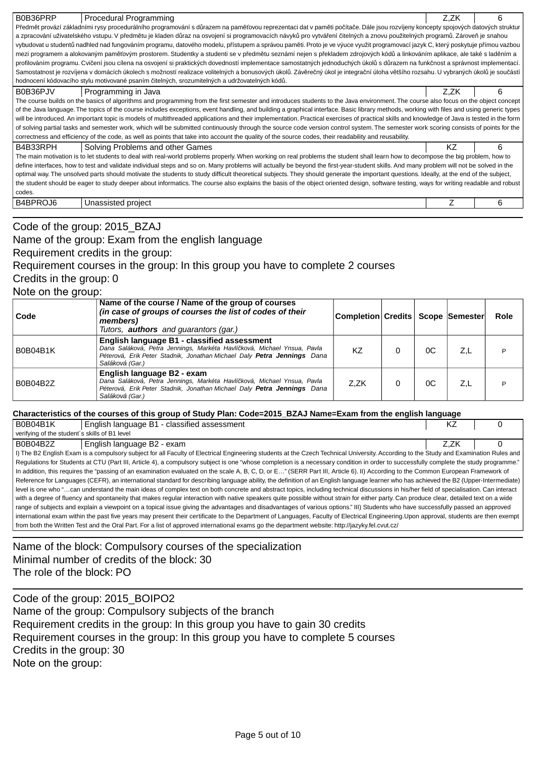| Procedural Programming<br>B0B36PRP                                                                                                                                                           | Z.ZK | 6 |  |  |  |  |  |  |
|----------------------------------------------------------------------------------------------------------------------------------------------------------------------------------------------|------|---|--|--|--|--|--|--|
| P edm t provází základními rysy procedurálního programování s d razem na pam ovou reprezentaci dat v pam ti po íta e. Dále jsou rozvíjeny koncepty spojových datových struktur               |      |   |  |  |  |  |  |  |
| a zpracování uživatelského vstupu. V p edm tu je kladen d raz na osvojení si programovacích návyk pro vytvá ení itelných a znovu použitelných program. Zárove je snahou                      |      |   |  |  |  |  |  |  |
| vybudovat u student nadhled nad fungováním programu, datového modelu, p ístupem a správou pam ti. Proto je ve výuce využit programovací jazyk C, který poskytuje p ímou vazbou               |      |   |  |  |  |  |  |  |
| mezi programem a alokovaným pam ovým prostorem. Studentky a studenti se v p edm tu seznámí nejen s p ekladem zdrojových kód a linkováním aplikace, ale také s lad ním a                      |      |   |  |  |  |  |  |  |
| profilováním programu. Cvi ení jsou cílena na osvojení si praktických dovedností implementace samostatných jednoduchých úkol s d razem na funk nost a správnost implementací.                |      |   |  |  |  |  |  |  |
| Samostatnost je rozvíjena v domácích úkolech s možností realizace volitelných a bonusových úkol . Záv re ný úkol je integra ní úloha v tšího rozsahu. U vybraných úkol je sou ástí           |      |   |  |  |  |  |  |  |
| hodnocení kódovacího stylu motivované psaním itelných, srozumitelných a udržovatelných kód.                                                                                                  |      |   |  |  |  |  |  |  |
| B0B36PJV<br>Programming in Java                                                                                                                                                              | Z.ZK | 6 |  |  |  |  |  |  |
| The course builds on the basics of algorithms and programming from the first semester and introduces students to the Java environment. The course also focus on the object concept           |      |   |  |  |  |  |  |  |
| of the Java language. The topics of the course includes exceptions, event handling, and building a graphical interface. Basic library methods, working with files and using generic types    |      |   |  |  |  |  |  |  |
| will be introduced. An important topic is models of multithreaded applications and their implementation. Practical exercises of practical skills and knowledge of Java is tested in the form |      |   |  |  |  |  |  |  |
| of solving partial tasks and semester work, which will be submitted continuously through the source code version control system. The semester work scoring consists of points for the        |      |   |  |  |  |  |  |  |
| correctness and efficiency of the code, as well as points that take into account the quality of the source codes, their readability and reusability.                                         |      |   |  |  |  |  |  |  |
| B4B33RPH<br>Solving Problems and other Games                                                                                                                                                 | ΚZ   | 6 |  |  |  |  |  |  |
| The main motivation is to let students to deal with real-world problems properly. When working on real problems the student shall learn how to decompose the big problem, how to             |      |   |  |  |  |  |  |  |
| define interfaces, how to test and validate individual steps and so on. Many problems will actually be beyond the first-year-student skills. And many problem will not be solved in the      |      |   |  |  |  |  |  |  |
| optimal way. The unsolved parts should motivate the students to study difficult theoretical subjects. They should generate the important questions. Ideally, at the end of the subject,      |      |   |  |  |  |  |  |  |
| the student should be eager to study deeper about informatics. The course also explains the basis of the object oriented design, software testing, ways for writing readable and robust      |      |   |  |  |  |  |  |  |
| codes.                                                                                                                                                                                       |      |   |  |  |  |  |  |  |
| B4BPROJ6<br>Unassisted project                                                                                                                                                               |      | 6 |  |  |  |  |  |  |
|                                                                                                                                                                                              |      |   |  |  |  |  |  |  |
|                                                                                                                                                                                              |      |   |  |  |  |  |  |  |

Code of the group: 2015\_BZAJ Name of the group: Exam from the english language Requirement credits in the group:

Requirement courses in the group: In this group you have to complete 2 courses

Credits in the group: 0

Note on the group:

| Code            | Name of the course / Name of the group of courses<br>(in case of groups of courses the list of codes of their<br>members)<br>Tutors, <b>authors</b> and guarantors (gar.)                                            | Completion Credits   Scope Semester |    |     | <b>Role</b> |
|-----------------|----------------------------------------------------------------------------------------------------------------------------------------------------------------------------------------------------------------------|-------------------------------------|----|-----|-------------|
| <b>B0B04B1K</b> | English language B1 - classified assessment<br>Dana Saláková, Petra Jennings, Markéta Havlí ková, Michael Ynsua, Pavla<br>Péterová, Erik Peter Stadnik, Jonathan Michael Daly Petra Jennings Dana<br>Saláková (Gar.) | ΚZ                                  | 0C | Z.L | D           |
| B0B04B2Z        | English language B2 - exam<br>Dana Saláková, Petra Jennings, Markéta Havlí ková, Michael Ynsua, Pavla<br>Péterová, Erik Peter Stadnik, Jonathan Michael Daly Petra Jennings Dana<br>Saláková (Gar.)                  | Z.ZK                                | 0C | Z.L | D           |

## **Characteristics of the courses of this group of Study Plan: Code=2015\_BZAJ Name=Exam from the english language**

| <b>B0B04B1K</b>                               | English language B1 - classified assessment                                                                                                                                             | ΚZ   |  |
|-----------------------------------------------|-----------------------------------------------------------------------------------------------------------------------------------------------------------------------------------------|------|--|
| verifying of the student's skills of B1 level |                                                                                                                                                                                         |      |  |
| B0B04B2Z                                      | English language B2 - exam                                                                                                                                                              | Z.ZK |  |
|                                               | I) The B2 English Exam is a compulsory subject for all Faculty of Electrical Engineering students at the Czech Technical University. According to the Study and Examination Rules and   |      |  |
|                                               | Regulations for Students at CTU (Part III, Article 4), a compulsory subject is one "whose completion is a necessary condition in order to successfully complete the study programme."   |      |  |
|                                               | In addition, this requires the "passing of an examination evaluated on the scale A, B, C, D, or E" (SERR Part III, Article 6). II) According to the Common European Framework of        |      |  |
|                                               | Reference for Languages (CEFR), an international standard for describing language ability, the definition of an English language learner who has achieved the B2 (Upper-Intermediate)   |      |  |
|                                               | level is one who "can understand the main ideas of complex text on both concrete and abstract topics, including technical discussions in his/her field of specialisation. Can interact  |      |  |
|                                               | with a degree of fluency and spontaneity that makes regular interaction with native speakers quite possible without strain for either party. Can produce clear, detailed text on a wide |      |  |
|                                               | range of subjects and explain a viewpoint on a topical issue giving the advantages and disadvantages of various options." III) Students who have successfully passed an approved        |      |  |
|                                               | international exam within the past five years may present their certificate to the Department of Languages, Faculty of Electrical Engineering. Upon approval, students are then exempt  |      |  |
|                                               | from both the Written Test and the Oral Part. For a list of approved international exams go the department website: http://jazyky.fel.cvut.cz/                                          |      |  |

Name of the block: Compulsory courses of the specialization Minimal number of credits of the block: 30 The role of the block: PO

Code of the group: 2015\_BOIPO2 Name of the group: Compulsory subjects of the branch Requirement credits in the group: In this group you have to gain 30 credits Requirement courses in the group: In this group you have to complete 5 courses Credits in the group: 30 Note on the group: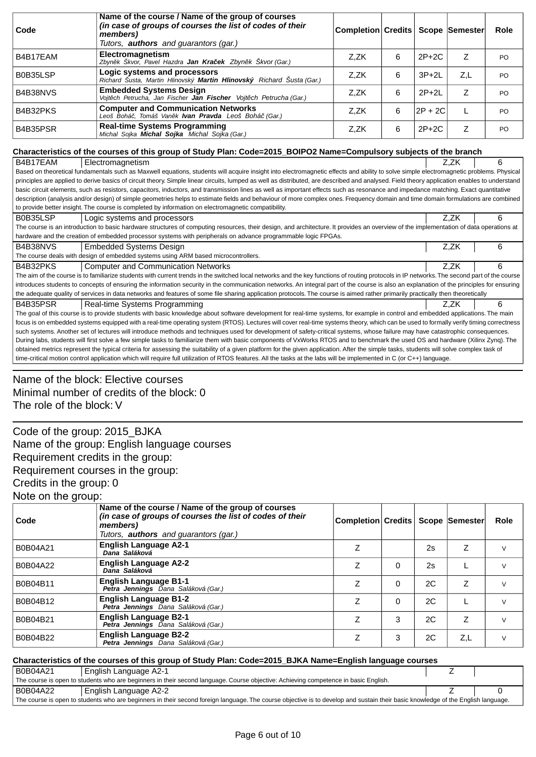| Code     | Name of the course / Name of the group of courses<br>(in case of groups of courses the list of codes of their<br>members)<br>Tutors, <b>authors</b> and guarantors (gar.)                                                                                                                                                                                                          | <b>Completion Credits</b> |   |           | Scope Semester | <b>Role</b> |
|----------|------------------------------------------------------------------------------------------------------------------------------------------------------------------------------------------------------------------------------------------------------------------------------------------------------------------------------------------------------------------------------------|---------------------------|---|-----------|----------------|-------------|
| B4B17EAM | Electromagnetism<br>Zbyn k Škvor, Pavel Hazdra <b>Jan Kra ek</b> Zbyn k Škvor (Gar.)                                                                                                                                                                                                                                                                                               | Z,ZK                      | 6 | $2P+2C$   | Z              | PO.         |
| B0B35LSP | Logic systems and processors<br>Richard Šusta, Martin Hlinovský Martin Hlinovský Richard Šusta (Gar.)                                                                                                                                                                                                                                                                              | Z,ZK                      | 6 | $3P+2L$   | Z,L            | PO          |
| B4B38NVS | <b>Embedded Systems Design</b><br>Vojt ch Petrucha, Jan Fischer Jan Fischer Vojt ch Petrucha (Gar.)                                                                                                                                                                                                                                                                                | Z,ZK                      | 6 | $2P+2L$   | Z              | PO          |
| B4B32PKS | <b>Computer and Communication Networks</b><br>Leoš Bohá, Tomáš Van k Ivan Pravda Leoš Bohá (Gar.)                                                                                                                                                                                                                                                                                  | Z.ZK                      | 6 | $2P + 2C$ | L              | PO          |
| B4B35PSR | <b>Real-time Systems Programming</b><br>Michal Sojka <b>Michal Sojka</b> Michal Sojka (Gar.)                                                                                                                                                                                                                                                                                       | Z,ZK                      | 6 | $2P+2C$   | Ζ              | PO          |
|          | Characteristics of the courses of this group of Study Plan: Code=2015_BOIPO2 Name=Compulsory subjects of the branch                                                                                                                                                                                                                                                                |                           |   |           |                |             |
| B4B17EAM | Electromagnetism                                                                                                                                                                                                                                                                                                                                                                   |                           |   |           | Z.ZK           | 6           |
|          | Based on theoretical fundamentals such as Maxwell equations, students will acquire insight into electromagnetic effects and ability to solve simple electromagnetic problems. Physical                                                                                                                                                                                             |                           |   |           |                |             |
|          | principles are applied to derive basics of circuit theory. Simple linear circuits, lumped as well as distributed, are described and analysed. Field theory application enables to understand<br>basic circuit elements, such as resistors, capacitors, inductors, and transmission lines as well as important effects such as resonance and impedance matching. Exact quantitative |                           |   |           |                |             |
|          | description (analysis and/or design) of simple geometries helps to estimate fields and behaviour of more complex ones. Frequency domain and time domain formulations are combined                                                                                                                                                                                                  |                           |   |           |                |             |
|          | to provide better insight. The course is completed by information on electromagnetic compatibility.                                                                                                                                                                                                                                                                                |                           |   |           |                |             |
| B0B35LSP | Logic systems and processors                                                                                                                                                                                                                                                                                                                                                       |                           |   |           | Z,ZK           | 6           |
|          | The course is an introduction to basic hardware structures of computing resources, their design, and architecture. It provides an overview of the implementation of data operations at                                                                                                                                                                                             |                           |   |           |                |             |
|          | hardware and the creation of embedded processor systems with peripherals on advance programmable logic FPGAs.                                                                                                                                                                                                                                                                      |                           |   |           |                |             |
| B4B38NVS | <b>Embedded Systems Design</b>                                                                                                                                                                                                                                                                                                                                                     |                           |   |           | Z,ZK           | 6           |
|          | The course deals with design of embedded systems using ARM based microcontrollers.                                                                                                                                                                                                                                                                                                 |                           |   |           |                |             |
| B4B32PKS | <b>Computer and Communication Networks</b>                                                                                                                                                                                                                                                                                                                                         |                           |   |           | Z.ZK           | 6           |
|          | The aim of the course is to familiarize students with current trends in the switched local networks and the key functions of routing protocols in IP networks. The second part of the course                                                                                                                                                                                       |                           |   |           |                |             |
|          | introduces students to concepts of ensuring the information security in the communication networks. An integral part of the course is also an explanation of the principles for ensuring                                                                                                                                                                                           |                           |   |           |                |             |
|          | the adequate quality of services in data networks and features of some file sharing application protocols. The course is aimed rather primarily practically then theoretically                                                                                                                                                                                                     |                           |   |           |                |             |
| B4B35PSR | Real-time Systems Programming                                                                                                                                                                                                                                                                                                                                                      |                           |   |           | Z.ZK           | 6           |
|          | The goal of this course is to provide students with basic knowledge about software development for real-time systems, for example in control and embedded applications. The main                                                                                                                                                                                                   |                           |   |           |                |             |
|          | focus is on embedded systems equipped with a real-time operating system (RTOS). Lectures will cover real-time systems theory, which can be used to formally verify timing correctness                                                                                                                                                                                              |                           |   |           |                |             |
|          | such systems. Another set of lectures will introduce methods and techniques used for development of safety-critical systems, whose failure may have catastrophic consequences.                                                                                                                                                                                                     |                           |   |           |                |             |
|          | During labs, students will first solve a few simple tasks to familiarize them with basic components of VxWorks RTOS and to benchmark the used OS and hardware (Xilinx Zynq). The                                                                                                                                                                                                   |                           |   |           |                |             |
|          | obtained metrics represent the typical criteria for assessing the suitability of a given platform for the given application. After the simple tasks, students will solve complex task of                                                                                                                                                                                           |                           |   |           |                |             |
|          | time-critical motion control application which will require full utilization of RTOS features. All the tasks at the labs will be implemented in C (or C++) language.                                                                                                                                                                                                               |                           |   |           |                |             |
|          |                                                                                                                                                                                                                                                                                                                                                                                    |                           |   |           |                |             |

# Name of the block: Elective courses Minimal number of credits of the block: 0 The role of the block: V

Code of the group: 2015\_BJKA Name of the group: English language courses Requirement credits in the group: Requirement courses in the group: Credits in the group: 0 Note on the group:

| Code     | Name of the course / Name of the group of courses<br>(in case of groups of courses the list of codes of their<br>members)<br>Tutors, <b>authors</b> and quarantors (gar.) | Completion Credits   Scope   Semester |   |    |     | Role   |
|----------|---------------------------------------------------------------------------------------------------------------------------------------------------------------------------|---------------------------------------|---|----|-----|--------|
| B0B04A21 | <b>English Language A2-1</b><br>Dana Saláková                                                                                                                             | Z                                     |   | 2s | Z   |        |
| B0B04A22 | <b>English Language A2-2</b><br>Dana Saláková                                                                                                                             | Ζ                                     | 0 | 2s |     |        |
| B0B04B11 | <b>English Language B1-1</b><br>Petra Jennings Dana Saláková (Gar.)                                                                                                       | Ζ                                     | 0 | 2C | Z   |        |
| B0B04B12 | <b>English Language B1-2</b><br>Petra Jennings Dana Saláková (Gar.)                                                                                                       | Z                                     | 0 | 2C |     | $\vee$ |
| B0B04B21 | <b>English Language B2-1</b><br>Petra Jennings Dana Saláková (Gar.)                                                                                                       | Z                                     | 3 | 2C | Z   | $\vee$ |
| B0B04B22 | <b>English Language B2-2</b><br>Petra Jennings Dana Saláková (Gar.)                                                                                                       | 7                                     | 3 | 2C | Z,L |        |

## **Characteristics of the courses of this group of Study Plan: Code=2015\_BJKA Name=English language courses**

| B0B04A21                                                                                                                                                                         | English Language A2-1 |  |  |  |  |
|----------------------------------------------------------------------------------------------------------------------------------------------------------------------------------|-----------------------|--|--|--|--|
| The course is open to students who are beginners in their second language. Course objective: Achieving competence in basic English.                                              |                       |  |  |  |  |
| B0B04A22<br>  English Language A2-2                                                                                                                                              |                       |  |  |  |  |
| The course is open to students who are beginners in their second foreign language. The course objective is to develop and sustain their basic knowledge of the English language. |                       |  |  |  |  |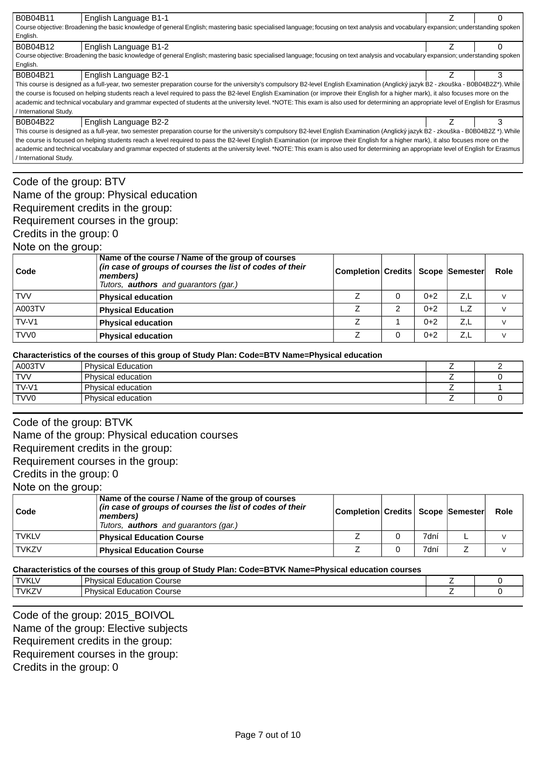| B0B04B11                                                                                                                                                                               | English Language B1-1                                                                                                                                                               |  | 0 |  |  |  |  |
|----------------------------------------------------------------------------------------------------------------------------------------------------------------------------------------|-------------------------------------------------------------------------------------------------------------------------------------------------------------------------------------|--|---|--|--|--|--|
| Course objective: Broadening the basic knowledge of general English; mastering basic specialised language; focusing on text analysis and vocabulary expansion; understanding spoken    |                                                                                                                                                                                     |  |   |  |  |  |  |
| English.                                                                                                                                                                               |                                                                                                                                                                                     |  |   |  |  |  |  |
| B0B04B12                                                                                                                                                                               | English Language B1-2                                                                                                                                                               |  |   |  |  |  |  |
|                                                                                                                                                                                        | Course objective: Broadening the basic knowledge of general English; mastering basic specialised language; focusing on text analysis and vocabulary expansion; understanding spoken |  |   |  |  |  |  |
| English.                                                                                                                                                                               |                                                                                                                                                                                     |  |   |  |  |  |  |
| B0B04B21                                                                                                                                                                               | English Language B2-1                                                                                                                                                               |  | 3 |  |  |  |  |
| This course is designed as a full-year, two semester preparation course for the university's compulsory B2-level English Examination (Anglický jazyk B2 - zkouška - B0B04B2Z*). While  |                                                                                                                                                                                     |  |   |  |  |  |  |
| the course is focused on helping students reach a level required to pass the B2-level English Examination (or improve their English for a higher mark), it also focuses more on the    |                                                                                                                                                                                     |  |   |  |  |  |  |
| academic and technical vocabulary and grammar expected of students at the university level. *NOTE: This exam is also used for determining an appropriate level of English for Erasmus  |                                                                                                                                                                                     |  |   |  |  |  |  |
| / International Study.                                                                                                                                                                 |                                                                                                                                                                                     |  |   |  |  |  |  |
| B0B04B22                                                                                                                                                                               | English Language B2-2                                                                                                                                                               |  | 3 |  |  |  |  |
| This course is designed as a full-year, two semester preparation course for the university's compulsory B2-level English Examination (Anglický jazyk B2 - zkouška - B0B04B2Z *). While |                                                                                                                                                                                     |  |   |  |  |  |  |
| the course is focused on helping students reach a level required to pass the B2-level English Examination (or improve their English for a higher mark), it also focuses more on the    |                                                                                                                                                                                     |  |   |  |  |  |  |
| academic and technical vocabulary and grammar expected of students at the university level. *NOTE: This exam is also used for determining an appropriate level of English for Erasmus  |                                                                                                                                                                                     |  |   |  |  |  |  |
| / International Study.                                                                                                                                                                 |                                                                                                                                                                                     |  |   |  |  |  |  |
|                                                                                                                                                                                        |                                                                                                                                                                                     |  |   |  |  |  |  |

# Code of the group: BTV

Name of the group: Physical education

## Requirement credits in the group:

Requirement courses in the group:

Credits in the group: 0

## Note on the group:

| Code             | Name of the course / Name of the group of courses<br>(in case of groups of courses the list of codes of their<br>members)<br>Tutors, <b>authors</b> and guarantors (gar.) | Completion  Credits   Scope   Semester |   |       |     | Role |
|------------------|---------------------------------------------------------------------------------------------------------------------------------------------------------------------------|----------------------------------------|---|-------|-----|------|
| <b>TVV</b>       | <b>Physical education</b>                                                                                                                                                 |                                        |   | $0+2$ | Z,L |      |
| A003TV           | <b>Physical Education</b>                                                                                                                                                 |                                        | 2 | $0+2$ | L.Z |      |
| $TV-VI$          | <b>Physical education</b>                                                                                                                                                 |                                        |   | $0+2$ | Z,L |      |
| TVV <sub>0</sub> | <b>Physical education</b>                                                                                                                                                 |                                        |   | $0+2$ | Z,L |      |

#### **Characteristics of the courses of this group of Study Plan: Code=BTV Name=Physical education**

| A003TV           | <b>Physical Education</b> |  |
|------------------|---------------------------|--|
| <b>TVV</b>       | Physical education        |  |
| $TV-V1$          | Physical education        |  |
| TVV <sub>0</sub> | Physical education        |  |
|                  |                           |  |

## Code of the group: BTVK

Name of the group: Physical education courses

Requirement credits in the group:

Requirement courses in the group:

Credits in the group: 0

Note on the group:

| l Code       | Name of the course / Name of the group of courses<br>(in case of groups of courses the list of codes of their<br>members)<br>Tutors, <b>authors</b> and guarantors (gar.) | Completion  Credits   Scope   Semester |      | <b>Role</b> |
|--------------|---------------------------------------------------------------------------------------------------------------------------------------------------------------------------|----------------------------------------|------|-------------|
| <b>TVKLV</b> | <b>Physical Education Course</b>                                                                                                                                          |                                        | 7dní |             |
| <b>TVKZV</b> | <b>Physical Education Course</b>                                                                                                                                          |                                        | 7dní |             |

### **Characteristics of the courses of this group of Study Plan: Code=BTVK Name=Physical education courses**

| TVK7<br>Dh<br>Course<br>$\sim$<br>. IV'<br>`าแบ.<br>- | <b>TVKIV</b> | Dh.<br>Course<br>ucation<br><br>. IV'<br>ווסטוכ |  |
|-------------------------------------------------------|--------------|-------------------------------------------------|--|
|                                                       |              |                                                 |  |

Code of the group: 2015\_BOIVOL Name of the group: Elective subjects Requirement credits in the group: Requirement courses in the group: Credits in the group: 0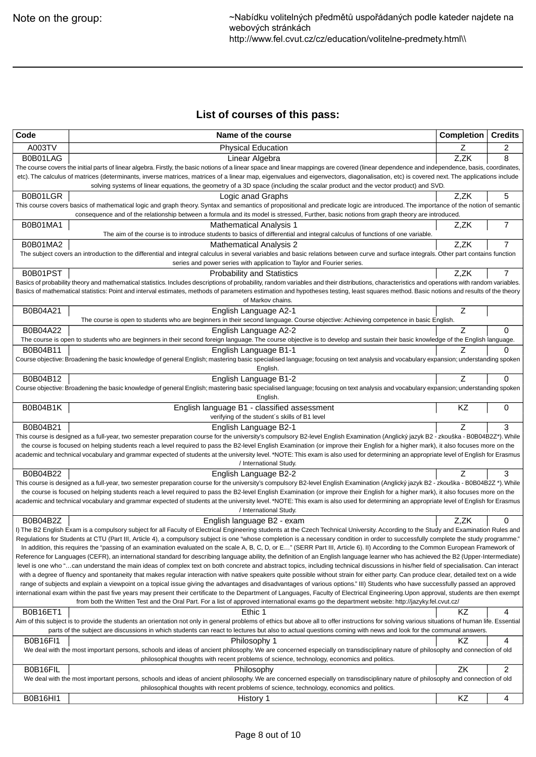# **List of courses of this pass:**

| Code            | Name of the course                                                                                                                                                                                                                                                                                                                                                                      | <b>Completion</b> | <b>Credits</b> |
|-----------------|-----------------------------------------------------------------------------------------------------------------------------------------------------------------------------------------------------------------------------------------------------------------------------------------------------------------------------------------------------------------------------------------|-------------------|----------------|
| A003TV          | <b>Physical Education</b>                                                                                                                                                                                                                                                                                                                                                               | Ζ                 | 2              |
| B0B01LAG        | Linear Algebra                                                                                                                                                                                                                                                                                                                                                                          | Z,ZK              | 8              |
|                 | The course covers the initial parts of linear algebra. Firstly, the basic notions of a linear space and linear mappings are covered (linear dependence and independence, basis, coordinates,<br>etc). The calculus of matrices (determinants, inverse matrices, matrices of a linear map, eigenvalues and eigenvectors, diagonalisation, etc) is covered next. The applications include |                   |                |
|                 | solving systems of linear equations, the geometry of a 3D space (including the scalar product and the vector product) and SVD.                                                                                                                                                                                                                                                          |                   |                |
| B0B01LGR        | Logic anad Graphs                                                                                                                                                                                                                                                                                                                                                                       | Z,ZK              | 5              |
|                 | This course covers basics of mathematical logic and graph theory. Syntax and semantics of propositional and predicate logic are introduced. The importance of the notion of semantic                                                                                                                                                                                                    |                   |                |
|                 | consequence and of the relationship between a formula and its model is stressed, Further, basic notions from graph theory are introduced.                                                                                                                                                                                                                                               |                   |                |
| B0B01MA1        | <b>Mathematical Analysis 1</b><br>The aim of the course is to introduce students to basics of differential and integral calculus of functions of one variable.                                                                                                                                                                                                                          | Z,ZK              | 7              |
| B0B01MA2        | <b>Mathematical Analysis 2</b>                                                                                                                                                                                                                                                                                                                                                          | Z,ZK              | 7              |
|                 | The subject covers an introduction to the differential and integral calculus in several variables and basic relations between curve and surface integrals. Other part contains function                                                                                                                                                                                                 |                   |                |
|                 | series and power series with application to Taylor and Fourier series.                                                                                                                                                                                                                                                                                                                  |                   |                |
| B0B01PST        | <b>Probability and Statistics</b>                                                                                                                                                                                                                                                                                                                                                       | Z,ZK              | 7              |
|                 | Basics of probability theory and mathematical statistics. Includes descriptions of probability, random variables and their distributions, characteristics and operations with random variables.                                                                                                                                                                                         |                   |                |
|                 | Basics of mathematical statistics: Point and interval estimates, methods of parameters estimation and hypotheses testing, least squares method. Basic notions and results of the theory<br>of Markov chains.                                                                                                                                                                            |                   |                |
| B0B04A21        | English Language A2-1                                                                                                                                                                                                                                                                                                                                                                   | Z                 |                |
|                 | The course is open to students who are beginners in their second language. Course objective: Achieving competence in basic English.                                                                                                                                                                                                                                                     |                   |                |
| B0B04A22        | English Language A2-2                                                                                                                                                                                                                                                                                                                                                                   | Z                 | 0              |
| B0B04B11        | The course is open to students who are beginners in their second foreign language. The course objective is to develop and sustain their basic knowledge of the English language.<br>English Language B1-1                                                                                                                                                                               |                   | 0              |
|                 | Course objective: Broadening the basic knowledge of general English; mastering basic specialised language; focusing on text analysis and vocabulary expansion; understanding spoken                                                                                                                                                                                                     |                   |                |
|                 | English.                                                                                                                                                                                                                                                                                                                                                                                |                   |                |
| B0B04B12        | English Language B1-2                                                                                                                                                                                                                                                                                                                                                                   | Z                 | 0              |
|                 | Course objective: Broadening the basic knowledge of general English; mastering basic specialised language; focusing on text analysis and vocabulary expansion; understanding spoken                                                                                                                                                                                                     |                   |                |
| <b>B0B04B1K</b> | English.<br>English language B1 - classified assessment                                                                                                                                                                                                                                                                                                                                 | KZ                | 0              |
|                 | verifying of the student's skills of B1 level                                                                                                                                                                                                                                                                                                                                           |                   |                |
| B0B04B21        | English Language B2-1                                                                                                                                                                                                                                                                                                                                                                   | Z                 | 3              |
|                 | This course is designed as a full-year, two semester preparation course for the university's compulsory B2-level English Examination (Anglický jazyk B2 - zkouška - B0B04B2Z*). While                                                                                                                                                                                                   |                   |                |
|                 | the course is focused on helping students reach a level required to pass the B2-level English Examination (or improve their English for a higher mark), it also focuses more on the<br>academic and technical vocabulary and grammar expected of students at the university level. *NOTE: This exam is also used for determining an appropriate level of English for Erasmus            |                   |                |
|                 | / International Study.                                                                                                                                                                                                                                                                                                                                                                  |                   |                |
| B0B04B22        | English Language B2-2                                                                                                                                                                                                                                                                                                                                                                   |                   | 3              |
|                 | This course is designed as a full-year, two semester preparation course for the university's compulsory B2-level English Examination (Anglický jazyk B2 - zkouška - B0B04B2Z *). While                                                                                                                                                                                                  |                   |                |
|                 | the course is focused on helping students reach a level required to pass the B2-level English Examination (or improve their English for a higher mark), it also focuses more on the<br>academic and technical vocabulary and grammar expected of students at the university level. *NOTE: This exam is also used for determining an appropriate level of English for Erasmus            |                   |                |
|                 | / International Study.                                                                                                                                                                                                                                                                                                                                                                  |                   |                |
| B0B04B2Z        | English language B2 - exam                                                                                                                                                                                                                                                                                                                                                              | Z,ZK              | 0              |
|                 | I) The B2 English Exam is a compulsory subject for all Faculty of Electrical Engineering students at the Czech Technical University. According to the Study and Examination Rules and                                                                                                                                                                                                   |                   |                |
|                 | Regulations for Students at CTU (Part III, Article 4), a compulsory subject is one "whose completion is a necessary condition in order to successfully complete the study programme."<br>In addition, this requires the "passing of an examination evaluated on the scale A, B, C, D, or E" (SERR Part III, Article 6). II) According to the Common European Framework of               |                   |                |
|                 | Reference for Languages (CEFR), an international standard for describing language ability, the definition of an English language learner who has achieved the B2 (Upper-Intermediate)                                                                                                                                                                                                   |                   |                |
|                 | level is one who "can understand the main ideas of complex text on both concrete and abstract topics, including technical discussions in his/her field of specialisation. Can interact                                                                                                                                                                                                  |                   |                |
|                 | with a degree of fluency and spontaneity that makes regular interaction with native speakers quite possible without strain for either party. Can produce clear, detailed text on a wide                                                                                                                                                                                                 |                   |                |
|                 | range of subjects and explain a viewpoint on a topical issue giving the advantages and disadvantages of various options." III) Students who have successfully passed an approved<br>international exam within the past five years may present their certificate to the Department of Languages, Faculty of Electrical Engineering. Upon approval, students are then exempt              |                   |                |
|                 | from both the Written Test and the Oral Part. For a list of approved international exams go the department website: http://jazyky.fel.cvut.cz/                                                                                                                                                                                                                                          |                   |                |
| <b>B0B16ET1</b> | Ethic 1                                                                                                                                                                                                                                                                                                                                                                                 | ΚZ                | 4              |
|                 | Aim of this subject is to provide the students an orientation not only in general problems of ethics but above all to offer instructions for solving various situations of human life. Essential                                                                                                                                                                                        |                   |                |
|                 | parts of the subject are discussions in which students can react to lectures but also to actual questions coming with news and look for the communal answers.                                                                                                                                                                                                                           |                   |                |
| <b>B0B16FI1</b> | Philosophy 1<br>We deal with the most important persons, schools and ideas of ancient philosophy. We are concerned especially on transdisciplinary nature of philosophy and connection of old                                                                                                                                                                                           | KZ                | 4              |
|                 | philosophical thoughts with recent problems of science, technology, economics and politics.                                                                                                                                                                                                                                                                                             |                   |                |
| B0B16FIL        | Philosophy                                                                                                                                                                                                                                                                                                                                                                              | ZK                | $\overline{c}$ |
|                 | We deal with the most important persons, schools and ideas of ancient philosophy. We are concerned especially on transdisciplinary nature of philosophy and connection of old                                                                                                                                                                                                           |                   |                |
|                 | philosophical thoughts with recent problems of science, technology, economics and politics.                                                                                                                                                                                                                                                                                             |                   |                |
| <b>B0B16HI1</b> | History 1                                                                                                                                                                                                                                                                                                                                                                               | KZ                | 4              |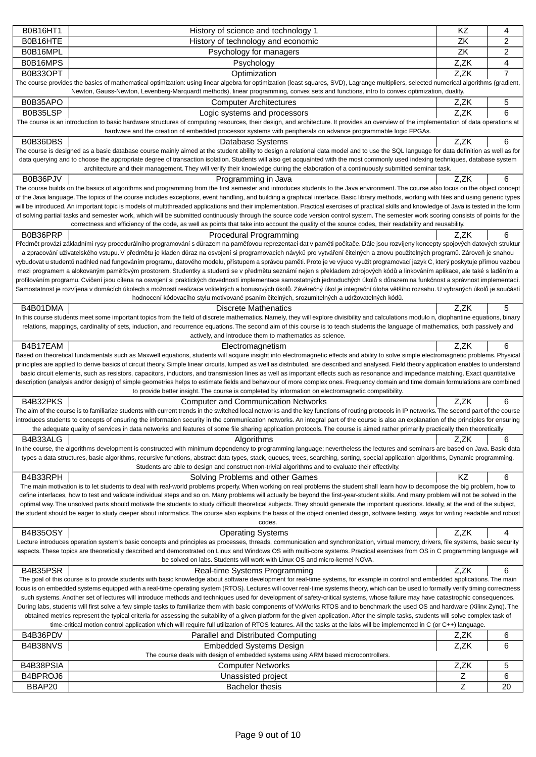| <b>B0B16HT1</b>    | History of science and technology 1                                                                                                                                                                                                                                                                                                                                                       | KZ     | 4       |
|--------------------|-------------------------------------------------------------------------------------------------------------------------------------------------------------------------------------------------------------------------------------------------------------------------------------------------------------------------------------------------------------------------------------------|--------|---------|
| B0B16HTE           | History of technology and economic                                                                                                                                                                                                                                                                                                                                                        | ZK     | 2       |
| B0B16MPL           | Psychology for managers                                                                                                                                                                                                                                                                                                                                                                   | ZK     | 2       |
| B0B16MPS           | Psychology                                                                                                                                                                                                                                                                                                                                                                                | Z,ZK   | 4       |
| B0B33OPT           | Optimization                                                                                                                                                                                                                                                                                                                                                                              | Z,ZK   | 7       |
|                    | The course provides the basics of mathematical optimization: using linear algebra for optimization (least squares, SVD), Lagrange multipliers, selected numerical algorithms (gradient,                                                                                                                                                                                                   |        |         |
|                    | Newton, Gauss-Newton, Levenberg-Marquardt methods), linear programming, convex sets and functions, intro to convex optimization, duality.                                                                                                                                                                                                                                                 |        |         |
| B0B35APO           | <b>Computer Architectures</b>                                                                                                                                                                                                                                                                                                                                                             | Z,ZK   | 5       |
| B0B35LSP           | Logic systems and processors                                                                                                                                                                                                                                                                                                                                                              | Z,ZK   | 6       |
|                    | The course is an introduction to basic hardware structures of computing resources, their design, and architecture. It provides an overview of the implementation of data operations at<br>hardware and the creation of embedded processor systems with peripherals on advance programmable logic FPGAs.                                                                                   |        |         |
| B0B36DBS           | Database Systems                                                                                                                                                                                                                                                                                                                                                                          | Z.ZK   | 6       |
|                    | The course is designed as a basic database course mainly aimed at the student ability to design a relational data model and to use the SQL language for data definition as well as for                                                                                                                                                                                                    |        |         |
|                    | data querying and to choose the appropriate degree of transaction isolation. Students will also get acquainted with the most commonly used indexing techniques, database system                                                                                                                                                                                                           |        |         |
|                    | architecture and their management. They will verify their knowledge during the elaboration of a continuously submitted seminar task.                                                                                                                                                                                                                                                      |        |         |
| B0B36PJV           | Programming in Java                                                                                                                                                                                                                                                                                                                                                                       | Z,ZK   | 6       |
|                    | The course builds on the basics of algorithms and programming from the first semester and introduces students to the Java environment. The course also focus on the object concept                                                                                                                                                                                                        |        |         |
|                    | of the Java language. The topics of the course includes exceptions, event handling, and building a graphical interface. Basic library methods, working with files and using generic types<br>will be introduced. An important topic is models of multithreaded applications and their implementation. Practical exercises of practical skills and knowledge of Java is tested in the form |        |         |
|                    | of solving partial tasks and semester work, which will be submitted continuously through the source code version control system. The semester work scoring consists of points for the                                                                                                                                                                                                     |        |         |
|                    | correctness and efficiency of the code, as well as points that take into account the quality of the source codes, their readability and reusability.                                                                                                                                                                                                                                      |        |         |
| B0B36PRP           | Procedural Programming                                                                                                                                                                                                                                                                                                                                                                    | Z.ZK   | 6       |
|                    | P edm t provází základními rysy procedurálního programování s d razem na pam ovou reprezentaci dat v pam ti po íta e. Dále jsou rozvíjeny koncepty spojových datových struktur                                                                                                                                                                                                            |        |         |
|                    | a zpracování uživatelského vstupu. V p edm tu je kladen d raz na osvojení si programovacích návyk pro vytvá ení itelných a znovu použitelných program. Zárove je snahou                                                                                                                                                                                                                   |        |         |
|                    | vybudovat u student nadhled nad fungováním programu, datového modelu, p ístupem a správou pam ti. Proto je ve výuce využit programovací jazyk C, který poskytuje p ímou vazbou                                                                                                                                                                                                            |        |         |
|                    | mezi programem a alokovaným pam ovým prostorem. Studentky a studenti se v p edm tu seznámí nejen s p ekladem zdrojových kód a linkováním aplikace, ale také s lad ním a<br>profilováním programu. Cvi ení jsou cílena na osvojení si praktických dovedností implementace samostatných jednoduchých úkol s d razem na funk nost a správnost implementací.                                  |        |         |
|                    | Samostatnost je rozvíjena v domácích úkolech s možností realizace volitelných a bonusových úkol . Záv re ný úkol je integra ní úloha v tšího rozsahu. U vybraných úkol je sou ástí                                                                                                                                                                                                        |        |         |
|                    | hodnocení kódovacího stylu motivované psaním itelných, srozumitelných a udržovatelných kód.                                                                                                                                                                                                                                                                                               |        |         |
| B4B01DMA           | <b>Discrete Mathenatics</b>                                                                                                                                                                                                                                                                                                                                                               | Z,ZK   | 5       |
|                    | In this course students meet some important topics from the field of discrete mathematics. Namely, they will explore divisibility and calculations modulo n, diophantine equations, binary                                                                                                                                                                                                |        |         |
|                    | relations, mappings, cardinality of sets, induction, and recurrence equations. The second aim of this course is to teach students the language of mathematics, both passively and                                                                                                                                                                                                         |        |         |
|                    | actively, and introduce them to mathematics as science.                                                                                                                                                                                                                                                                                                                                   |        |         |
| B4B17EAM           | Electromagnetism                                                                                                                                                                                                                                                                                                                                                                          | Z.ZK   | 6       |
|                    | Based on theoretical fundamentals such as Maxwell equations, students will acquire insight into electromagnetic effects and ability to solve simple electromagnetic problems. Physical<br>principles are applied to derive basics of circuit theory. Simple linear circuits, lumped as well as distributed, are described and analysed. Field theory application enables to understand    |        |         |
|                    | basic circuit elements, such as resistors, capacitors, inductors, and transmission lines as well as important effects such as resonance and impedance matching. Exact quantitative                                                                                                                                                                                                        |        |         |
|                    | description (analysis and/or design) of simple geometries helps to estimate fields and behaviour of more complex ones. Frequency domain and time domain formulations are combined                                                                                                                                                                                                         |        |         |
|                    | to provide better insight. The course is completed by information on electromagnetic compatibility.                                                                                                                                                                                                                                                                                       |        |         |
| B4B32PKS           | <b>Computer and Communication Networks</b>                                                                                                                                                                                                                                                                                                                                                | Z.ZK   | 6       |
|                    | The aim of the course is to familiarize students with current trends in the switched local networks and the key functions of routing protocols in IP networks. The second part of the course<br>introduces students to concepts of ensuring the information security in the communication networks. An integral part of the course is also an explanation of the principles for ensuring  |        |         |
|                    |                                                                                                                                                                                                                                                                                                                                                                                           |        |         |
|                    |                                                                                                                                                                                                                                                                                                                                                                                           |        |         |
|                    | the adequate quality of services in data networks and features of some file sharing application protocols. The course is aimed rather primarily practically then theoretically                                                                                                                                                                                                            |        |         |
| B4B33ALG           | Algorithms                                                                                                                                                                                                                                                                                                                                                                                | Z,ZK   | 6       |
|                    | In the course, the algorithms development is constructed with minimum dependency to programming language; nevertheless the lectures and seminars are based on Java. Basic data<br>types a data structures, basic algorithms, recursive functions, abstract data types, stack, queues, trees, searching, sorting, special application algorithms, Dynamic programming.                     |        |         |
|                    | Students are able to design and construct non-trivial algorithms and to evaluate their effectivity.                                                                                                                                                                                                                                                                                       |        |         |
| B4B33RPH           | Solving Problems and other Games                                                                                                                                                                                                                                                                                                                                                          | KZ     | 6       |
|                    | The main motivation is to let students to deal with real-world problems properly. When working on real problems the student shall learn how to decompose the big problem, how to                                                                                                                                                                                                          |        |         |
|                    | define interfaces, how to test and validate individual steps and so on. Many problems will actually be beyond the first-year-student skills. And many problem will not be solved in the                                                                                                                                                                                                   |        |         |
|                    | optimal way. The unsolved parts should motivate the students to study difficult theoretical subjects. They should generate the important questions. Ideally, at the end of the subject,                                                                                                                                                                                                   |        |         |
|                    | the student should be eager to study deeper about informatics. The course also explains the basis of the object oriented design, software testing, ways for writing readable and robust<br>codes.                                                                                                                                                                                         |        |         |
|                    |                                                                                                                                                                                                                                                                                                                                                                                           |        |         |
| <b>B4B35OSY</b>    | <b>Operating Systems</b><br>Lecture introduces operation system's basic concepts and principles as processes, threads, communication and synchronization, virtual memory, drivers, file systems, basic security                                                                                                                                                                           | Z,ZK   | 4       |
|                    | aspects. These topics are theoretically described and demonstrated on Linux and Windows OS with multi-core systems. Practical exercises from OS in C programming language will                                                                                                                                                                                                            |        |         |
|                    | be solved on labs. Students will work with Linux OS and micro-kernel NOVA.                                                                                                                                                                                                                                                                                                                |        |         |
| B4B35PSR           | Real-time Systems Programming                                                                                                                                                                                                                                                                                                                                                             | Z,ZK   | 6       |
|                    | The goal of this course is to provide students with basic knowledge about software development for real-time systems, for example in control and embedded applications. The main                                                                                                                                                                                                          |        |         |
|                    | focus is on embedded systems equipped with a real-time operating system (RTOS). Lectures will cover real-time systems theory, which can be used to formally verify timing correctness                                                                                                                                                                                                     |        |         |
|                    | such systems. Another set of lectures will introduce methods and techniques used for development of safety-critical systems, whose failure may have catastrophic consequences.<br>During labs, students will first solve a few simple tasks to familiarize them with basic components of VxWorks RTOS and to benchmark the used OS and hardware (Xilinx Zynq). The                        |        |         |
|                    | obtained metrics represent the typical criteria for assessing the suitability of a given platform for the given application. After the simple tasks, students will solve complex task of                                                                                                                                                                                                  |        |         |
|                    | time-critical motion control application which will require full utilization of RTOS features. All the tasks at the labs will be implemented in C (or C++) language.                                                                                                                                                                                                                      |        |         |
| B4B36PDV           | Parallel and Distributed Computing                                                                                                                                                                                                                                                                                                                                                        | Z,ZK   | 6       |
| B4B38NVS           | <b>Embedded Systems Design</b>                                                                                                                                                                                                                                                                                                                                                            | Z,ZK   | 6       |
|                    | The course deals with design of embedded systems using ARM based microcontrollers.                                                                                                                                                                                                                                                                                                        |        |         |
| B4B38PSIA          | <b>Computer Networks</b>                                                                                                                                                                                                                                                                                                                                                                  | Z,ZK   | 5       |
| B4BPROJ6<br>BBAP20 | Unassisted project<br><b>Bachelor thesis</b>                                                                                                                                                                                                                                                                                                                                              | Ζ<br>Z | 6<br>20 |